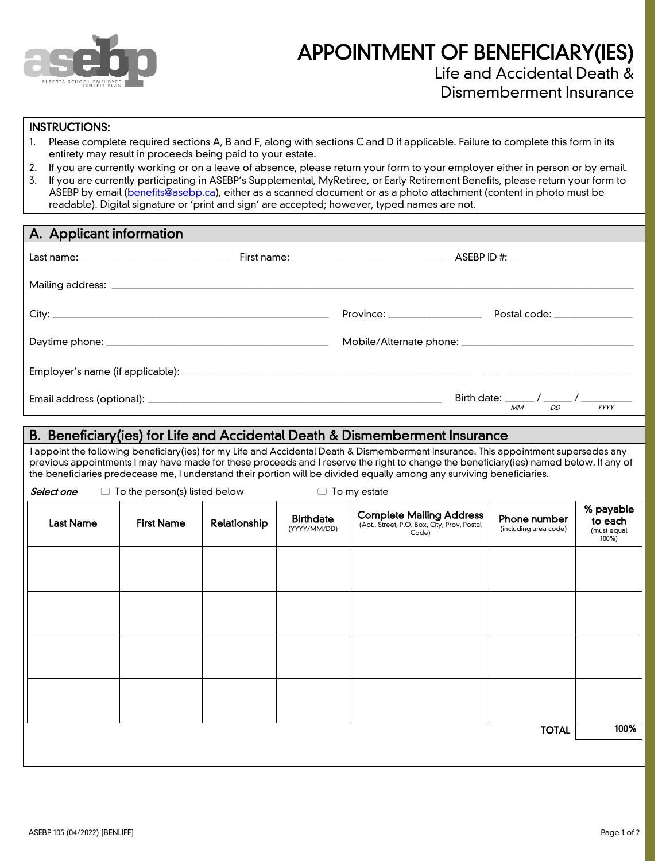

# APPOINTMENT OF BENEFICIARY(IES) Life and Accidental Death &

Dismemberment Insurance

#### INSTRUCTIONS:

- 1. Please complete required sections A, B and F, along with sections C and D if applicable. Failure to complete this form in its entirety may result in proceeds being paid to your estate.
- 2. If you are currently working or on a leave of absence, please return your form to your employer either in person or by email.
- 3. If you are currently participating in ASEBP's Supplemental, MyRetiree, or Early Retirement Benefits, please return your form to ASEBP by email [\(benefits@asebp.ca\)](mailto:benefits@asebp.ca), either as a scanned document or as a photo attachment (content in photo must be readable). Digital signature or 'print and sign' are accepted; however, typed names are not.

| A. Applicant information |                              |                               |  |
|--------------------------|------------------------------|-------------------------------|--|
|                          |                              |                               |  |
|                          |                              |                               |  |
|                          | Province: National Province: | Postal code: ________________ |  |
|                          |                              |                               |  |
|                          |                              |                               |  |
|                          |                              | DD<br>YYYY<br>МM              |  |

### B. Beneficiary(ies) for Life and Accidental Death & Dismemberment Insurance

I appoint the following beneficiary(ies) for my Life and Accidental Death & Dismemberment Insurance. This appointment supersedes any previous appointments I may have made for these proceeds and I reserve the right to change the beneficiary(ies) named below. If any of the beneficiaries predecease me, I understand their portion will be divided equally among any surviving beneficiaries.

 $\Box$  To my estate

| Select one | $\Box$ To the person(s) listed below |  |
|------------|--------------------------------------|--|
|------------|--------------------------------------|--|

| <b>Last Name</b> | <b>First Name</b> | Relationship | <b>Birthdate</b><br>(YYYY/MM/DD) | <b>Complete Mailing Address</b><br>(Apt., Street, P.O. Box, City, Prov, Postal<br>Code) | Phone number<br>(including area code) | % payable<br>to each<br>(must equal<br>100%) |
|------------------|-------------------|--------------|----------------------------------|-----------------------------------------------------------------------------------------|---------------------------------------|----------------------------------------------|
|                  |                   |              |                                  |                                                                                         |                                       |                                              |
|                  |                   |              |                                  |                                                                                         |                                       |                                              |
|                  |                   |              |                                  |                                                                                         |                                       |                                              |
|                  |                   |              |                                  |                                                                                         |                                       |                                              |
| <b>TOTAL</b>     |                   |              |                                  |                                                                                         | 100%                                  |                                              |